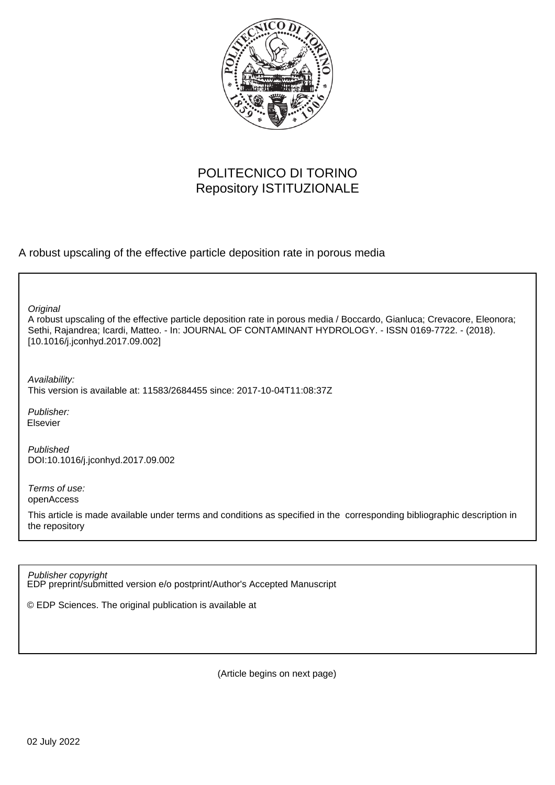

# POLITECNICO DI TORINO Repository ISTITUZIONALE

A robust upscaling of the effective particle deposition rate in porous media

**Original** 

A robust upscaling of the effective particle deposition rate in porous media / Boccardo, Gianluca; Crevacore, Eleonora; Sethi, Rajandrea; Icardi, Matteo. - In: JOURNAL OF CONTAMINANT HYDROLOGY. - ISSN 0169-7722. - (2018). [10.1016/j.jconhyd.2017.09.002]

Availability: This version is available at: 11583/2684455 since: 2017-10-04T11:08:37Z

Publisher: Elsevier

Published DOI:10.1016/j.jconhyd.2017.09.002

Terms of use: openAccess

This article is made available under terms and conditions as specified in the corresponding bibliographic description in the repository

EDP preprint/submitted version e/o postprint/Author's Accepted Manuscript Publisher copyright

© EDP Sciences. The original publication is available at

(Article begins on next page)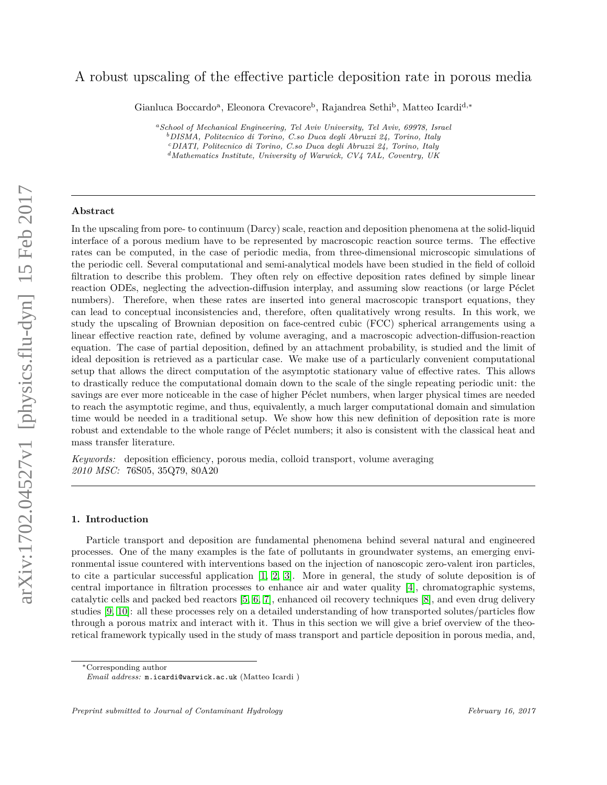# A robust upscaling of the effective particle deposition rate in porous media

Gianluca Boccardo<sup>a</sup>, Eleonora Crevacore<sup>b</sup>, Rajandrea Sethi<sup>b</sup>, Matteo Icardi<sup>d,\*</sup>

*<sup>a</sup>School of Mechanical Engineering, Tel Aviv University, Tel Aviv, 69978, Israel <sup>b</sup>DISMA, Politecnico di Torino, C.so Duca degli Abruzzi 24, Torino, Italy <sup>c</sup>DIATI, Politecnico di Torino, C.so Duca degli Abruzzi 24, Torino, Italy <sup>d</sup>Mathematics Institute, University of Warwick, CV4 7AL, Coventry, UK*

# **Abstract**

In the upscaling from pore- to continuum (Darcy) scale, reaction and deposition phenomena at the solid-liquid interface of a porous medium have to be represented by macroscopic reaction source terms. The effective rates can be computed, in the case of periodic media, from three-dimensional microscopic simulations of the periodic cell. Several computational and semi-analytical models have been studied in the field of colloid filtration to describe this problem. They often rely on effective deposition rates defined by simple linear reaction ODEs, neglecting the advection-diffusion interplay, and assuming slow reactions (or large Péclet numbers). Therefore, when these rates are inserted into general macroscopic transport equations, they can lead to conceptual inconsistencies and, therefore, often qualitatively wrong results. In this work, we study the upscaling of Brownian deposition on face-centred cubic (FCC) spherical arrangements using a linear effective reaction rate, defined by volume averaging, and a macroscopic advection-diffusion-reaction equation. The case of partial deposition, defined by an attachment probability, is studied and the limit of ideal deposition is retrieved as a particular case. We make use of a particularly convenient computational setup that allows the direct computation of the asymptotic stationary value of effective rates. This allows to drastically reduce the computational domain down to the scale of the single repeating periodic unit: the savings are ever more noticeable in the case of higher Péclet numbers, when larger physical times are needed to reach the asymptotic regime, and thus, equivalently, a much larger computational domain and simulation time would be needed in a traditional setup. We show how this new definition of deposition rate is more robust and extendable to the whole range of Péclet numbers; it also is consistent with the classical heat and mass transfer literature.

*Keywords:* deposition efficiency, porous media, colloid transport, volume averaging *2010 MSC:* 76S05, 35Q79, 80A20

#### **1. Introduction**

Particle transport and deposition are fundamental phenomena behind several natural and engineered processes. One of the many examples is the fate of pollutants in groundwater systems, an emerging environmental issue countered with interventions based on the injection of nanoscopic zero-valent iron particles, to cite a particular successful application [1, 2, 3]. More in general, the study of solute deposition is of central importance in filtration processes to enhance air and water quality [4], chromatographic systems, catalytic cells and packed bed reactors [5, 6, 7], enhanced oil recovery techniques [8], and even drug delivery studies [9, 10]: all these processes rely on a detailed understanding of how transported solutes/particles flow through a porous matrix and interact with it. Thus in this section we will give a brief overview of the theoretical framework typically used in the study of mass transport and particle deposition in porous media, and,

<sup>∗</sup>Corresponding author

*Email address:* m.icardi@warwick.ac.uk (Matteo Icardi )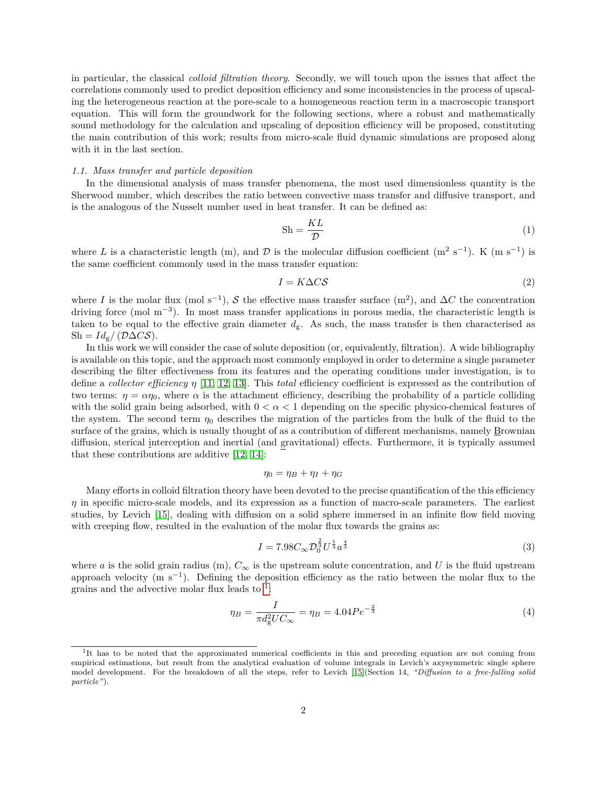in particular, the classical *colloid filtration theory*. Secondly, we will touch upon the issues that affect the correlations commonly used to predict deposition efficiency and some inconsistencies in the process of upscaling the heterogeneous reaction at the pore-scale to a homogeneous reaction term in a macroscopic transport equation. This will form the groundwork for the following sections, where a robust and mathematically sound methodology for the calculation and upscaling of deposition efficiency will be proposed, constituting the main contribution of this work; results from micro-scale fluid dynamic simulations are proposed along with it in the last section.

#### *1.1. Mass transfer and particle deposition*

In the dimensional analysis of mass transfer phenomena, the most used dimensionless quantity is the Sherwood number, which describes the ratio between convective mass transfer and diffusive transport, and is the analogous of the Nusselt number used in heat transfer. It can be defined as:

$$
Sh = \frac{KL}{D}
$$
 (1)

where L is a characteristic length (m), and D is the molecular diffusion coefficient  $(m^2 s^{-1})$ . K  $(m s^{-1})$  is the same coefficient commonly used in the mass transfer equation:

$$
I = K\Delta C\mathcal{S} \tag{2}
$$

where *I* is the molar flux (mol s<sup>-1</sup>), S the effective mass transfer surface (m<sup>2</sup>), and  $\Delta C$  the concentration driving force (mol m<sup>−</sup><sup>3</sup> ). In most mass transfer applications in porous media, the characteristic length is taken to be equal to the effective grain diameter  $d_g$ . As such, the mass transfer is then characterised as  $\text{Sh} = Id_{\mathbf{g}} / (\mathcal{D}\Delta\mathcal{C}\mathcal{S}).$ 

In this work we will consider the case of solute deposition (or, equivalently, filtration). A wide bibliography is available on this topic, and the approach most commonly employed in order to determine a single parameter describing the filter effectiveness from its features and the operating conditions under investigation, is to define a *collector efficiency η* [11, 12, 13]. This *total* efficiency coefficient is expressed as the contribution of two terms:  $\eta = \alpha \eta_0$ , where  $\alpha$  is the attachment efficiency, describing the probability of a particle colliding with the solid grain being adsorbed, with  $0 < \alpha < 1$  depending on the specific physico-chemical features of the system. The second term  $\eta_0$  describes the migration of the particles from the bulk of the fluid to the surface of the grains, which is usually thought of as a contribution of different mechanisms, namely Brownian diffusion, sterical interception and inertial (and gravitational) effects. Furthermore, it is typically assumed that these contributions are additive [12, 14]:

$$
\eta_0 = \eta_B + \eta_I + \eta_G
$$

Many efforts in colloid filtration theory have been devoted to the precise quantification of the this efficiency *η* in specific micro-scale models, and its expression as a function of macro-scale parameters. The earliest studies, by Levich [15], dealing with diffusion on a solid sphere immersed in an infinite flow field moving with creeping flow, resulted in the evaluation of the molar flux towards the grains as:

$$
I = 7.98C_{\infty} \mathcal{D}_0^{\frac{2}{3}} U^{\frac{1}{3}} a^{\frac{4}{3}}
$$
\n
$$
(3)
$$

where *a* is the solid grain radius (m),  $C_{\infty}$  is the upstream solute concentration, and *U* is the fluid upstream approach velocity (m s<sup>-1</sup>). Defining the deposition efficiency as the ratio between the molar flux to the grains and the advective molar flux leads to  $1$ :

$$
\eta_B = \frac{I}{\pi d_{\rm g}^2 U C_{\infty}} = \eta_B = 4.04 P e^{-\frac{2}{3}} \tag{4}
$$

<sup>&</sup>lt;sup>1</sup>It has to be noted that the approximated numerical coefficients in this and preceding equation are not coming from empirical estimations, but result from the analytical evaluation of volume integrals in Levich's axysymmetric single sphere model development. For the breakdown of all the steps, refer to Levich [15](Section 14, *"Diffusion to a free-falling solid particle"*).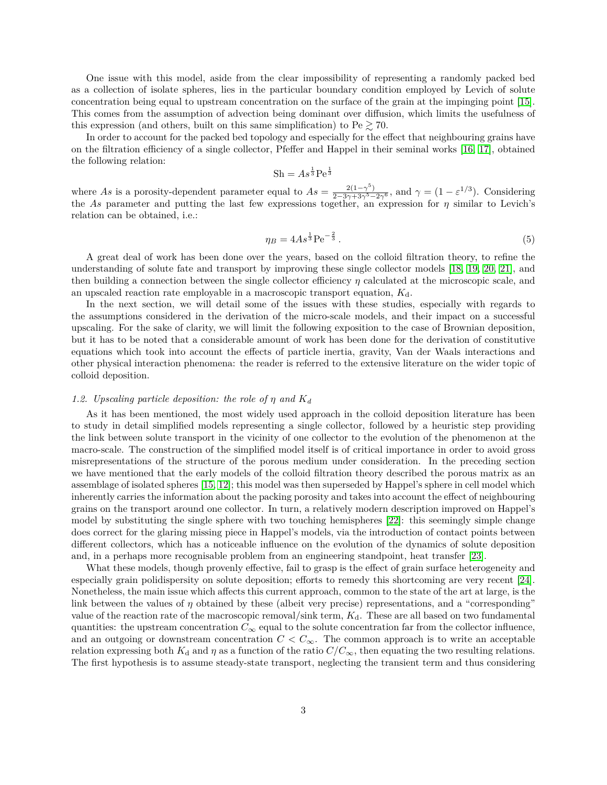One issue with this model, aside from the clear impossibility of representing a randomly packed bed as a collection of isolate spheres, lies in the particular boundary condition employed by Levich of solute concentration being equal to upstream concentration on the surface of the grain at the impinging point [15]. This comes from the assumption of advection being dominant over diffusion, which limits the usefulness of this expression (and others, built on this same simplification) to  $Pe \gtrsim 70$ .

In order to account for the packed bed topology and especially for the effect that neighbouring grains have on the filtration efficiency of a single collector, Pfeffer and Happel in their seminal works [16, 17], obtained the following relation:

$$
Sh = As^{\frac{1}{3}}\mathrm{Pe}^{\frac{1}{3}}
$$

where *As* is a porosity-dependent parameter equal to  $As = \frac{2(1-\gamma^5)}{2-3\gamma+3\gamma^5-2\gamma^6}$ , and  $\gamma = (1-\varepsilon^{1/3})$ . Considering the *As* parameter and putting the last few expressions together, an expression for  $\eta$  similar to Levich's relation can be obtained, i.e.:

$$
\eta_B = 4As^{\frac{1}{3}}\text{Pe}^{-\frac{2}{3}}\,. \tag{5}
$$

A great deal of work has been done over the years, based on the colloid filtration theory, to refine the understanding of solute fate and transport by improving these single collector models [18, 19, 20, 21], and then building a connection between the single collector efficiency *η* calculated at the microscopic scale, and an upscaled reaction rate employable in a macroscopic transport equation,  $K_d$ .

In the next section, we will detail some of the issues with these studies, especially with regards to the assumptions considered in the derivation of the micro-scale models, and their impact on a successful upscaling. For the sake of clarity, we will limit the following exposition to the case of Brownian deposition, but it has to be noted that a considerable amount of work has been done for the derivation of constitutive equations which took into account the effects of particle inertia, gravity, Van der Waals interactions and other physical interaction phenomena: the reader is referred to the extensive literature on the wider topic of colloid deposition.

#### *1.2. Upscaling particle deposition: the role of η and K<sup>d</sup>*

As it has been mentioned, the most widely used approach in the colloid deposition literature has been to study in detail simplified models representing a single collector, followed by a heuristic step providing the link between solute transport in the vicinity of one collector to the evolution of the phenomenon at the macro-scale. The construction of the simplified model itself is of critical importance in order to avoid gross misrepresentations of the structure of the porous medium under consideration. In the preceding section we have mentioned that the early models of the colloid filtration theory described the porous matrix as an assemblage of isolated spheres [15, 12]; this model was then superseded by Happel's sphere in cell model which inherently carries the information about the packing porosity and takes into account the effect of neighbouring grains on the transport around one collector. In turn, a relatively modern description improved on Happel's model by substituting the single sphere with two touching hemispheres [22]: this seemingly simple change does correct for the glaring missing piece in Happel's models, via the introduction of contact points between different collectors, which has a noticeable influence on the evolution of the dynamics of solute deposition and, in a perhaps more recognisable problem from an engineering standpoint, heat transfer [23].

What these models, though provenly effective, fail to grasp is the effect of grain surface heterogeneity and especially grain polidispersity on solute deposition; efforts to remedy this shortcoming are very recent [24]. Nonetheless, the main issue which affects this current approach, common to the state of the art at large, is the link between the values of *η* obtained by these (albeit very precise) representations, and a "corresponding" value of the reaction rate of the macroscopic removal/sink term, *K*d. These are all based on two fundamental quantities: the upstream concentration  $C_{\infty}$  equal to the solute concentration far from the collector influence, and an outgoing or downstream concentration  $C < C_{\infty}$ . The common approach is to write an acceptable relation expressing both  $K_d$  and  $\eta$  as a function of the ratio  $C/C_\infty$ , then equating the two resulting relations. The first hypothesis is to assume steady-state transport, neglecting the transient term and thus considering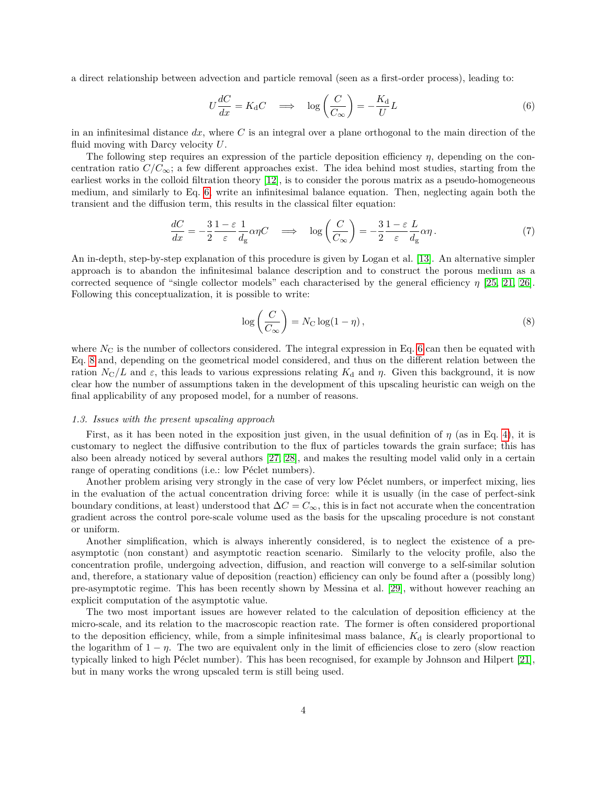a direct relationship between advection and particle removal (seen as a first-order process), leading to:

$$
U\frac{dC}{dx} = K_d C \implies \log\left(\frac{C}{C_{\infty}}\right) = -\frac{K_d}{U}L
$$
\n(6)

in an infinitesimal distance *dx*, where *C* is an integral over a plane orthogonal to the main direction of the fluid moving with Darcy velocity *U*.

The following step requires an expression of the particle deposition efficiency *η*, depending on the concentration ratio  $C/C_{\infty}$ ; a few different approaches exist. The idea behind most studies, starting from the earliest works in the colloid filtration theory [12], is to consider the porous matrix as a pseudo-homogeneous medium, and similarly to Eq. 6, write an infinitesimal balance equation. Then, neglecting again both the transient and the diffusion term, this results in the classical filter equation:

$$
\frac{dC}{dx} = -\frac{3}{2} \frac{1 - \varepsilon}{\varepsilon} \frac{1}{d_g} \alpha \eta C \quad \Longrightarrow \quad \log\left(\frac{C}{C_{\infty}}\right) = -\frac{3}{2} \frac{1 - \varepsilon}{\varepsilon} \frac{L}{d_g} \alpha \eta. \tag{7}
$$

An in-depth, step-by-step explanation of this procedure is given by Logan et al. [13]. An alternative simpler approach is to abandon the infinitesimal balance description and to construct the porous medium as a corrected sequence of "single collector models" each characterised by the general efficiency *η* [25, 21, 26]. Following this conceptualization, it is possible to write:

$$
\log\left(\frac{C}{C_{\infty}}\right) = N_{\rm C} \log(1-\eta),\tag{8}
$$

where  $N_{\rm C}$  is the number of collectors considered. The integral expression in Eq. 6 can then be equated with Eq. 8 and, depending on the geometrical model considered, and thus on the different relation between the ration  $N_C/L$  and *ε*, this leads to various expressions relating  $K_d$  and *η*. Given this background, it is now clear how the number of assumptions taken in the development of this upscaling heuristic can weigh on the final applicability of any proposed model, for a number of reasons.

#### *1.3. Issues with the present upscaling approach*

First, as it has been noted in the exposition just given, in the usual definition of *η* (as in Eq. 4), it is customary to neglect the diffusive contribution to the flux of particles towards the grain surface; this has also been already noticed by several authors [27, 28], and makes the resulting model valid only in a certain range of operating conditions (i.e.: low Péclet numbers).

Another problem arising very strongly in the case of very low Péclet numbers, or imperfect mixing, lies in the evaluation of the actual concentration driving force: while it is usually (in the case of perfect-sink boundary conditions, at least) understood that ∆*C* = *C*∞, this is in fact not accurate when the concentration gradient across the control pore-scale volume used as the basis for the upscaling procedure is not constant or uniform.

Another simplification, which is always inherently considered, is to neglect the existence of a preasymptotic (non constant) and asymptotic reaction scenario. Similarly to the velocity profile, also the concentration profile, undergoing advection, diffusion, and reaction will converge to a self-similar solution and, therefore, a stationary value of deposition (reaction) efficiency can only be found after a (possibly long) pre-asymptotic regime. This has been recently shown by Messina et al. [29], without however reaching an explicit computation of the asymptotic value.

The two most important issues are however related to the calculation of deposition efficiency at the micro-scale, and its relation to the macroscopic reaction rate. The former is often considered proportional to the deposition efficiency, while, from a simple infinitesimal mass balance,  $K_d$  is clearly proportional to the logarithm of  $1 - \eta$ . The two are equivalent only in the limit of efficiencies close to zero (slow reaction typically linked to high Péclet number). This has been recognised, for example by Johnson and Hilpert [21], but in many works the wrong upscaled term is still being used.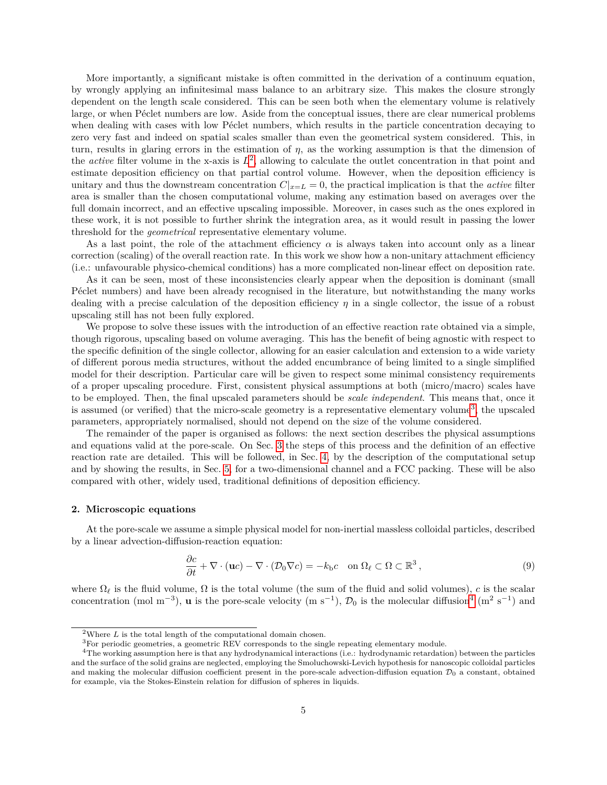More importantly, a significant mistake is often committed in the derivation of a continuum equation, by wrongly applying an infinitesimal mass balance to an arbitrary size. This makes the closure strongly dependent on the length scale considered. This can be seen both when the elementary volume is relatively large, or when Péclet numbers are low. Aside from the conceptual issues, there are clear numerical problems when dealing with cases with low Péclet numbers, which results in the particle concentration decaying to zero very fast and indeed on spatial scales smaller than even the geometrical system considered. This, in turn, results in glaring errors in the estimation of *η*, as the working assumption is that the dimension of the *active* filter volume in the x-axis is  $L^2$ , allowing to calculate the outlet concentration in that point and estimate deposition efficiency on that partial control volume. However, when the deposition efficiency is unitary and thus the downstream concentration  $C|_{x=L} = 0$ , the practical implication is that the *active* filter area is smaller than the chosen computational volume, making any estimation based on averages over the full domain incorrect, and an effective upscaling impossible. Moreover, in cases such as the ones explored in these work, it is not possible to further shrink the integration area, as it would result in passing the lower threshold for the *geometrical* representative elementary volume.

As a last point, the role of the attachment efficiency *α* is always taken into account only as a linear correction (scaling) of the overall reaction rate. In this work we show how a non-unitary attachment efficiency (i.e.: unfavourable physico-chemical conditions) has a more complicated non-linear effect on deposition rate.

As it can be seen, most of these inconsistencies clearly appear when the deposition is dominant (small P $\acute{e}$ clet numbers) and have been already recognised in the literature, but notwithstanding the many works dealing with a precise calculation of the deposition efficiency *η* in a single collector, the issue of a robust upscaling still has not been fully explored.

We propose to solve these issues with the introduction of an effective reaction rate obtained via a simple, though rigorous, upscaling based on volume averaging. This has the benefit of being agnostic with respect to the specific definition of the single collector, allowing for an easier calculation and extension to a wide variety of different porous media structures, without the added encumbrance of being limited to a single simplified model for their description. Particular care will be given to respect some minimal consistency requirements of a proper upscaling procedure. First, consistent physical assumptions at both (micro/macro) scales have to be employed. Then, the final upscaled parameters should be *scale independent*. This means that, once it is assumed (or verified) that the micro-scale geometry is a representative elementary volume<sup>3</sup>, the upscaled parameters, appropriately normalised, should not depend on the size of the volume considered.

The remainder of the paper is organised as follows: the next section describes the physical assumptions and equations valid at the pore-scale. On Sec. 3 the steps of this process and the definition of an effective reaction rate are detailed. This will be followed, in Sec. 4, by the description of the computational setup and by showing the results, in Sec. 5, for a two-dimensional channel and a FCC packing. These will be also compared with other, widely used, traditional definitions of deposition efficiency.

#### **2. Microscopic equations**

At the pore-scale we assume a simple physical model for non-inertial massless colloidal particles, described by a linear advection-diffusion-reaction equation:

$$
\frac{\partial c}{\partial t} + \nabla \cdot (\mathbf{u}c) - \nabla \cdot (\mathcal{D}_0 \nabla c) = -k_b c \quad \text{on } \Omega_\ell \subset \Omega \subset \mathbb{R}^3 \,, \tag{9}
$$

where  $\Omega_\ell$  is the fluid volume,  $\Omega$  is the total volume (the sum of the fluid and solid volumes), *c* is the scalar concentration (mol m<sup>-3</sup>), **u** is the pore-scale velocity (m s<sup>-1</sup>),  $\mathcal{D}_0$  is the molecular diffusion<sup>4</sup> (m<sup>2</sup> s<sup>-1</sup>) and

<sup>&</sup>lt;sup>2</sup>Where  $L$  is the total length of the computational domain chosen.

 ${}^{3}$  For periodic geometries, a geometric REV corresponds to the single repeating elementary module.

<sup>4</sup>The working assumption here is that any hydrodynamical interactions (i.e.: hydrodynamic retardation) between the particles and the surface of the solid grains are neglected, employing the Smoluchowski-Levich hypothesis for nanoscopic colloidal particles and making the molecular diffusion coefficient present in the pore-scale advection-diffusion equation  $\mathcal{D}_0$  a constant, obtained for example, via the Stokes-Einstein relation for diffusion of spheres in liquids.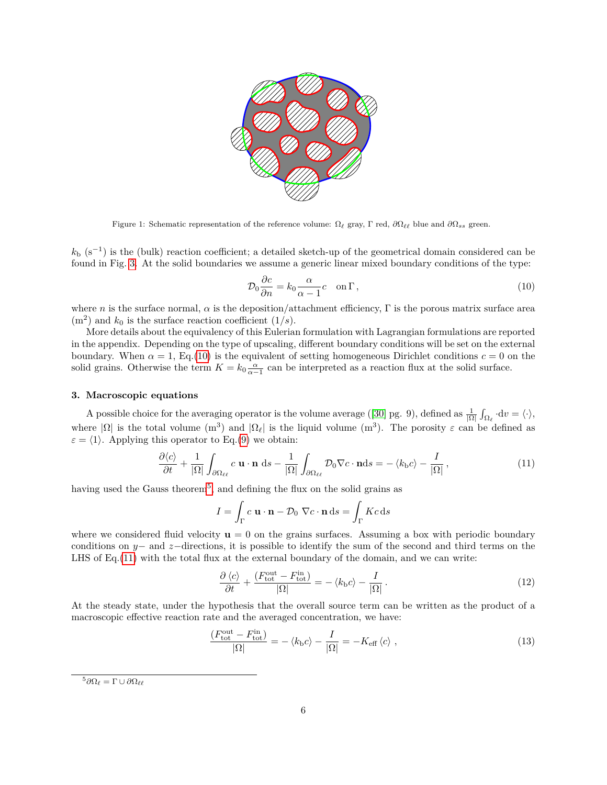

Figure 1: Schematic representation of the reference volume:  $\Omega_\ell$  gray, Γ red,  $\partial\Omega_{\ell\ell}$  blue and  $\partial\Omega_{ss}$  green.

 $k_b$  (s<sup>−1</sup>) is the (bulk) reaction coefficient; a detailed sketch-up of the geometrical domain considered can be found in Fig. 3. At the solid boundaries we assume a generic linear mixed boundary conditions of the type:

$$
\mathcal{D}_0 \frac{\partial c}{\partial n} = k_0 \frac{\alpha}{\alpha - 1} c \quad \text{on } \Gamma \,, \tag{10}
$$

where *n* is the surface normal,  $\alpha$  is the deposition/attachment efficiency,  $\Gamma$  is the porous matrix surface area  $(m<sup>2</sup>)$  and  $k<sub>0</sub>$  is the surface reaction coefficient  $(1/s)$ .

More details about the equivalency of this Eulerian formulation with Lagrangian formulations are reported in the appendix. Depending on the type of upscaling, different boundary conditions will be set on the external boundary. When  $\alpha = 1$ , Eq.(10) is the equivalent of setting homogeneous Dirichlet conditions  $c = 0$  on the solid grains. Otherwise the term  $K = k_0 \frac{\alpha}{\alpha - 1}$  can be interpreted as a reaction flux at the solid surface.

# **3. Macroscopic equations**

A possible choice for the averaging operator is the volume average ([30] pg. 9), defined as  $\frac{1}{|\Omega|} \int_{\Omega_{\ell}} \cdot dv = \langle \cdot \rangle$ , where  $|\Omega|$  is the total volume  $(m^3)$  and  $|\Omega_\ell|$  is the liquid volume  $(m^3)$ . The porosity  $\varepsilon$  can be defined as  $\varepsilon = \langle 1 \rangle$ . Applying this operator to Eq.(9) we obtain:

$$
\frac{\partial \langle c \rangle}{\partial t} + \frac{1}{|\Omega|} \int_{\partial \Omega_{\ell\ell}} c \mathbf{u} \cdot \mathbf{n} \, ds - \frac{1}{|\Omega|} \int_{\partial \Omega_{\ell\ell}} \mathcal{D}_0 \nabla c \cdot \mathbf{n} ds = - \langle k_b c \rangle - \frac{I}{|\Omega|}, \qquad (11)
$$

having used the Gauss theorem<sup>5</sup>, and defining the flux on the solid grains as

$$
I = \int_{\Gamma} c \mathbf{u} \cdot \mathbf{n} - \mathcal{D}_0 \nabla c \cdot \mathbf{n} \, \mathrm{d}s = \int_{\Gamma} Kc \, \mathrm{d}s
$$

where we considered fluid velocity  $\mathbf{u} = 0$  on the grains surfaces. Assuming a box with periodic boundary conditions on *y*− and *z*−directions, it is possible to identify the sum of the second and third terms on the LHS of Eq.(11) with the total flux at the external boundary of the domain, and we can write:

$$
\frac{\partial \langle c \rangle}{\partial t} + \frac{(F_{\text{tot}}^{\text{out}} - F_{\text{tot}}^{\text{in}})}{|\Omega|} = -\langle k_{\text{b}}c \rangle - \frac{I}{|\Omega|}.
$$
\n(12)

At the steady state, under the hypothesis that the overall source term can be written as the product of a macroscopic effective reaction rate and the averaged concentration, we have:

$$
\frac{(F_{\text{tot}}^{\text{out}} - F_{\text{tot}}^{\text{in}})}{|\Omega|} = -\langle k_{\text{b}}c \rangle - \frac{I}{|\Omega|} = -K_{\text{eff}}\langle c \rangle ,\qquad (13)
$$

 ${}^5\partial\Omega_\ell = \Gamma \cup \partial\Omega_{\ell\ell}$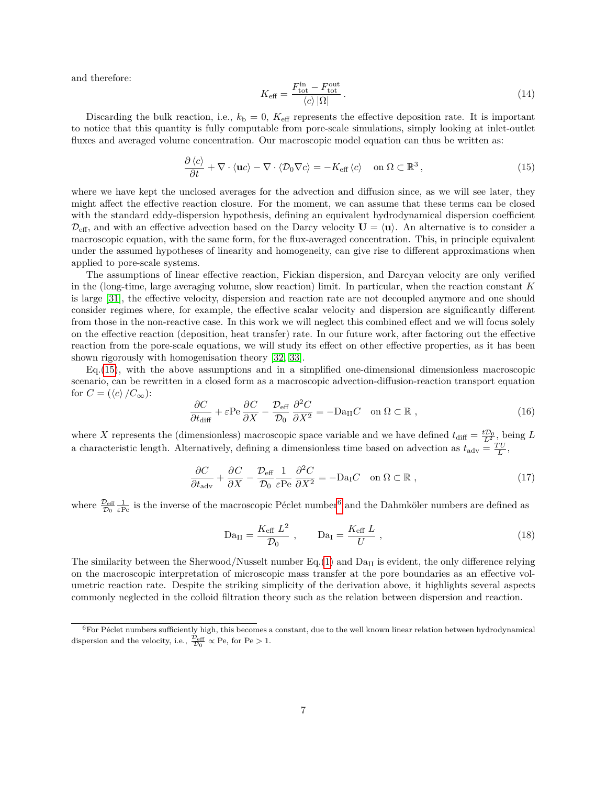and therefore:

$$
K_{\text{eff}} = \frac{F_{\text{tot}}^{\text{in}} - F_{\text{tot}}^{\text{out}}}{\langle c \rangle |\Omega|}.
$$
\n(14)

Discarding the bulk reaction, i.e.,  $k<sub>b</sub> = 0$ ,  $K<sub>eff</sub>$  represents the effective deposition rate. It is important to notice that this quantity is fully computable from pore-scale simulations, simply looking at inlet-outlet fluxes and averaged volume concentration. Our macroscopic model equation can thus be written as:

$$
\frac{\partial \langle c \rangle}{\partial t} + \nabla \cdot \langle \mathbf{u} c \rangle - \nabla \cdot \langle \mathcal{D}_0 \nabla c \rangle = -K_{\text{eff}} \langle c \rangle \quad \text{on } \Omega \subset \mathbb{R}^3 \,, \tag{15}
$$

where we have kept the unclosed averages for the advection and diffusion since, as we will see later, they might affect the effective reaction closure. For the moment, we can assume that these terms can be closed with the standard eddy-dispersion hypothesis, defining an equivalent hydrodynamical dispersion coefficient  $\mathcal{D}_{\text{eff}}$ , and with an effective advection based on the Darcy velocity  $\mathbf{U} = \langle \mathbf{u} \rangle$ . An alternative is to consider a macroscopic equation, with the same form, for the flux-averaged concentration. This, in principle equivalent under the assumed hypotheses of linearity and homogeneity, can give rise to different approximations when applied to pore-scale systems.

The assumptions of linear effective reaction, Fickian dispersion, and Darcyan velocity are only verified in the (long-time, large averaging volume, slow reaction) limit. In particular, when the reaction constant *K* is large [31], the effective velocity, dispersion and reaction rate are not decoupled anymore and one should consider regimes where, for example, the effective scalar velocity and dispersion are significantly different from those in the non-reactive case. In this work we will neglect this combined effect and we will focus solely on the effective reaction (deposition, heat transfer) rate. In our future work, after factoring out the effective reaction from the pore-scale equations, we will study its effect on other effective properties, as it has been shown rigorously with homogenisation theory [32, 33].

Eq.(15), with the above assumptions and in a simplified one-dimensional dimensionless macroscopic scenario, can be rewritten in a closed form as a macroscopic advection-diffusion-reaction transport equation for  $C = (\langle c \rangle / C_{\infty})$ :

$$
\frac{\partial C}{\partial t_{\text{diff}}} + \varepsilon \text{Pe} \frac{\partial C}{\partial X} - \frac{\mathcal{D}_{\text{eff}}}{\mathcal{D}_0} \frac{\partial^2 C}{\partial X^2} = -\text{Da}_{\text{II}} C \quad \text{on } \Omega \subset \mathbb{R} \;, \tag{16}
$$

where *X* represents the (dimensionless) macroscopic space variable and we have defined  $t_{\text{diff}} = \frac{tD_0}{L^2}$ , being *L* a characteristic length. Alternatively, defining a dimensionless time based on advection as  $t_{\text{adv}} = \frac{T U}{L}$ ,

$$
\frac{\partial C}{\partial t_{\text{adv}}} + \frac{\partial C}{\partial X} - \frac{\mathcal{D}_{\text{eff}}}{\mathcal{D}_0} \frac{1}{\varepsilon \text{Pe}} \frac{\partial^2 C}{\partial X^2} = -\text{Da}_{\text{I}} C \quad \text{on } \Omega \subset \mathbb{R} \;, \tag{17}
$$

where  $\frac{\mathcal{D}_{\text{eff}}}{\mathcal{D}_0} \frac{1}{\varepsilon \text{Pe}}$  is the inverse of the macroscopic Péclet number<sup>6</sup> and the Dahmköler numbers are defined as

$$
Da_{II} = \frac{K_{\text{eff}} L^2}{\mathcal{D}_0} , \qquad Da_{I} = \frac{K_{\text{eff}} L}{U} , \qquad (18)
$$

The similarity between the Sherwood/Nusselt number  $Eq.(1)$  and  $Da<sub>II</sub>$  is evident, the only difference relying on the macroscopic interpretation of microscopic mass transfer at the pore boundaries as an effective volumetric reaction rate. Despite the striking simplicity of the derivation above, it highlights several aspects commonly neglected in the colloid filtration theory such as the relation between dispersion and reaction.

 $6$ For Péclet numbers sufficiently high, this becomes a constant, due to the well known linear relation between hydrodynamical dispersion and the velocity, i.e.,  $\frac{\mathcal{D}_{\text{eff}}}{\mathcal{D}_0} \propto \text{Pe}$ , for  $\text{Pe} > 1$ .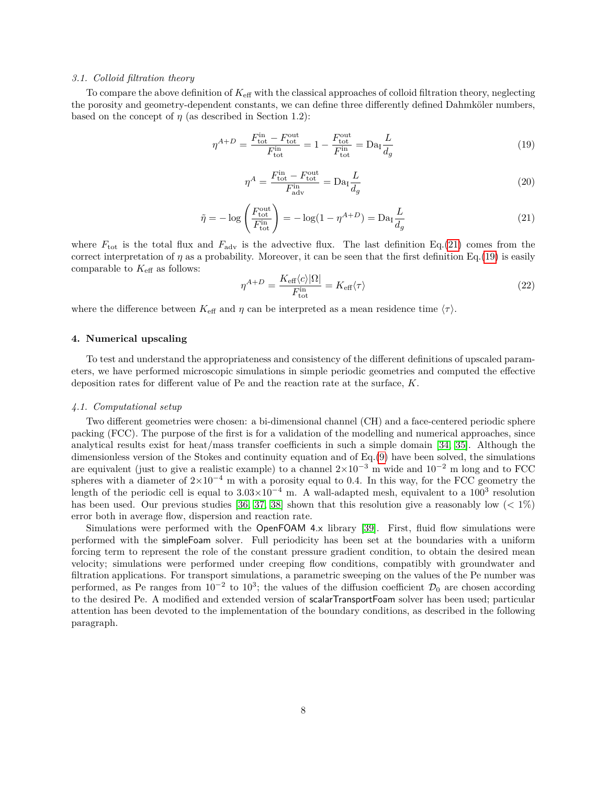#### *3.1. Colloid filtration theory*

To compare the above definition of  $K_{\text{eff}}$  with the classical approaches of colloid filtration theory, neglecting the porosity and geometry-dependent constants, we can define three differently defined Dahmköler numbers, based on the concept of  $\eta$  (as described in Section 1.2):

$$
\eta^{A+D} = \frac{F_{\text{tot}}^{\text{in}} - F_{\text{tot}}^{\text{out}}}{F_{\text{tot}}^{\text{in}}} = 1 - \frac{F_{\text{tot}}^{\text{out}}}{F_{\text{tot}}^{\text{in}}} = \text{Da}_1 \frac{L}{d_g} \tag{19}
$$

$$
\eta^A = \frac{F_{\text{tot}}^{\text{in}} - F_{\text{tot}}^{\text{out}}}{F_{\text{adv}}^{\text{in}}} = \text{Da}_I \frac{L}{d_g} \tag{20}
$$

$$
\tilde{\eta} = -\log\left(\frac{F_{\text{tot}}^{\text{out}}}{F_{\text{tot}}^{\text{in}}}\right) = -\log(1 - \eta^{A+D}) = \text{Da}_{\text{I}}\frac{L}{d_g} \tag{21}
$$

where  $F_{\text{tot}}$  is the total flux and  $F_{\text{adv}}$  is the advective flux. The last definition Eq.(21) comes from the correct interpretation of  $\eta$  as a probability. Moreover, it can be seen that the first definition Eq.(19) is easily comparable to  $K_{\text{eff}}$  as follows:

$$
\eta^{A+D} = \frac{K_{\text{eff}}\langle c \rangle |\Omega|}{F_{\text{tot}}^{\text{in}}} = K_{\text{eff}}\langle \tau \rangle \tag{22}
$$

where the difference between  $K_{\text{eff}}$  and  $\eta$  can be interpreted as a mean residence time  $\langle \tau \rangle$ .

#### **4. Numerical upscaling**

To test and understand the appropriateness and consistency of the different definitions of upscaled parameters, we have performed microscopic simulations in simple periodic geometries and computed the effective deposition rates for different value of Pe and the reaction rate at the surface, *K*.

#### *4.1. Computational setup*

Two different geometries were chosen: a bi-dimensional channel (CH) and a face-centered periodic sphere packing (FCC). The purpose of the first is for a validation of the modelling and numerical approaches, since analytical results exist for heat/mass transfer coefficients in such a simple domain [34, 35]. Although the dimensionless version of the Stokes and continuity equation and of Eq.(9) have been solved, the simulations are equivalent (just to give a realistic example) to a channel  $2\times10^{-3}$  m wide and  $10^{-2}$  m long and to FCC spheres with a diameter of  $2\times10^{-4}$  m with a porosity equal to 0.4. In this way, for the FCC geometry the length of the periodic cell is equal to  $3.03 \times 10^{-4}$  m. A wall-adapted mesh, equivalent to a  $100^3$  resolution has been used. Our previous studies [36, 37, 38] shown that this resolution give a reasonably low (*<* 1%) error both in average flow, dispersion and reaction rate.

Simulations were performed with the OpenFOAM 4.x library [39]. First, fluid flow simulations were performed with the simpleFoam solver. Full periodicity has been set at the boundaries with a uniform forcing term to represent the role of the constant pressure gradient condition, to obtain the desired mean velocity; simulations were performed under creeping flow conditions, compatibly with groundwater and filtration applications. For transport simulations, a parametric sweeping on the values of the Pe number was performed, as Pe ranges from  $10^{-2}$  to  $10^3$ ; the values of the diffusion coefficient  $\mathcal{D}_0$  are chosen according to the desired Pe. A modified and extended version of scalarTransportFoam solver has been used; particular attention has been devoted to the implementation of the boundary conditions, as described in the following paragraph.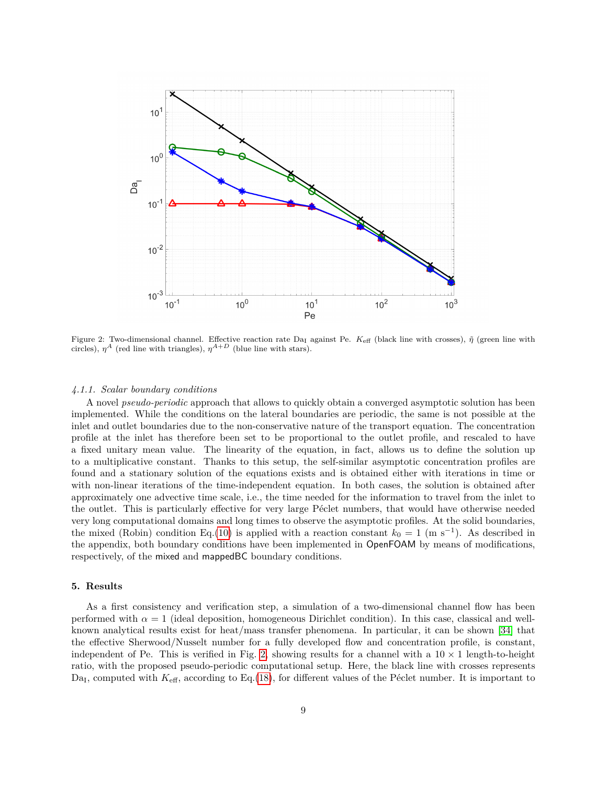

Figure 2: Two-dimensional channel. Effective reaction rate Da<sub>I</sub> against Pe. K<sub>eff</sub> (black line with crosses),  $\tilde{\eta}$  (green line with circles),  $\eta^A$  (red line with triangles),  $\eta^{A+D}$  (blue line with stars).

#### *4.1.1. Scalar boundary conditions*

A novel *pseudo-periodic* approach that allows to quickly obtain a converged asymptotic solution has been implemented. While the conditions on the lateral boundaries are periodic, the same is not possible at the inlet and outlet boundaries due to the non-conservative nature of the transport equation. The concentration profile at the inlet has therefore been set to be proportional to the outlet profile, and rescaled to have a fixed unitary mean value. The linearity of the equation, in fact, allows us to define the solution up to a multiplicative constant. Thanks to this setup, the self-similar asymptotic concentration profiles are found and a stationary solution of the equations exists and is obtained either with iterations in time or with non-linear iterations of the time-independent equation. In both cases, the solution is obtained after approximately one advective time scale, i.e., the time needed for the information to travel from the inlet to the outlet. This is particularly effective for very large Péclet numbers, that would have otherwise needed very long computational domains and long times to observe the asymptotic profiles. At the solid boundaries, the mixed (Robin) condition Eq.(10) is applied with a reaction constant  $k_0 = 1$  (m s<sup>-1</sup>). As described in the appendix, both boundary conditions have been implemented in OpenFOAM by means of modifications, respectively, of the mixed and mappedBC boundary conditions.

## **5. Results**

As a first consistency and verification step, a simulation of a two-dimensional channel flow has been performed with  $\alpha = 1$  (ideal deposition, homogeneous Dirichlet condition). In this case, classical and wellknown analytical results exist for heat/mass transfer phenomena. In particular, it can be shown [34] that the effective Sherwood/Nusselt number for a fully developed flow and concentration profile, is constant, independent of Pe. This is verified in Fig. 2, showing results for a channel with a  $10 \times 1$  length-to-height ratio, with the proposed pseudo-periodic computational setup. Here, the black line with crosses represents Da<sub>I</sub>, computed with  $K_{\text{eff}}$ , according to Eq.(18), for different values of the Péclet number. It is important to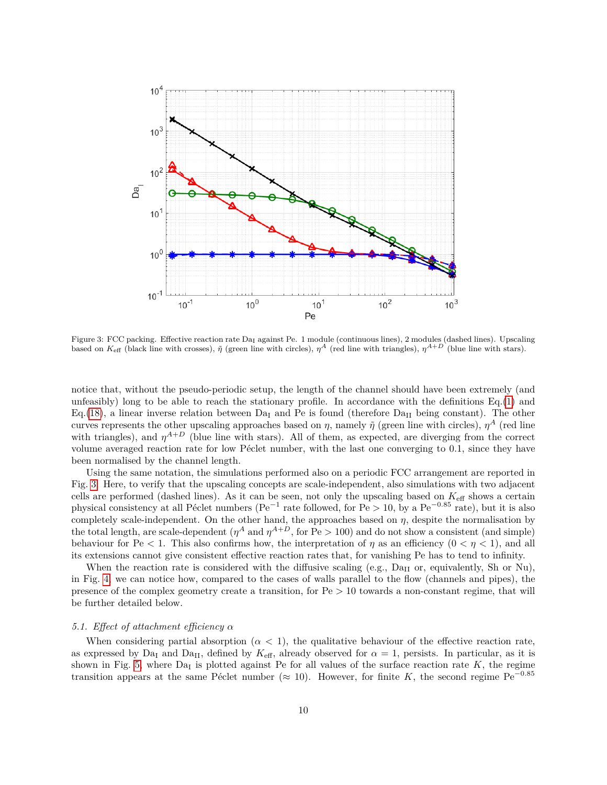

Figure 3: FCC packing. Effective reaction rate Da<sub>I</sub> against Pe. 1 module (continuous lines), 2 modules (dashed lines). Upscaling based on  $K_{\text{eff}}$  (black line with crosses),  $\tilde{\eta}$  (green line with circles),  $\eta^A$  (red line with triangles),  $\eta^{A+D}$  (blue line with stars).

notice that, without the pseudo-periodic setup, the length of the channel should have been extremely (and unfeasibly) long to be able to reach the stationary profile. In accordance with the definitions  $Eq.(1)$  and Eq. (18), a linear inverse relation between Da<sub>I</sub> and Pe is found (therefore Da<sub>II</sub> being constant). The other curves represents the other upscaling approaches based on  $\eta$ , namely  $\tilde{\eta}$  (green line with circles),  $\eta^A$  (red line with triangles), and  $\eta^{A+D}$  (blue line with stars). All of them, as expected, are diverging from the correct volume averaged reaction rate for low Péclet number, with the last one converging to 0.1, since they have been normalised by the channel length.

Using the same notation, the simulations performed also on a periodic FCC arrangement are reported in Fig. 3. Here, to verify that the upscaling concepts are scale-independent, also simulations with two adjacent cells are performed (dashed lines). As it can be seen, not only the upscaling based on *K*eff shows a certain physical consistency at all Péclet numbers (Pe<sup>−1</sup> rate followed, for Pe > 10, by a Pe<sup>−0.85</sup> rate), but it is also completely scale-independent. On the other hand, the approaches based on  $\eta$ , despite the normalisation by the total length, are scale-dependent  $(\eta^A \text{ and } \eta^{A+D}, \text{ for } \text{Pe} > 100)$  and do not show a consistent (and simple) behaviour for Pe  $\lt 1$ . This also confirms how, the interpretation of  $\eta$  as an efficiency  $(0 \lt \eta \lt 1)$ , and all its extensions cannot give consistent effective reaction rates that, for vanishing Pe has to tend to infinity.

When the reaction rate is considered with the diffusive scaling (e.g.,  $Da_{II}$  or, equivalently, Sh or Nu). in Fig. 4, we can notice how, compared to the cases of walls parallel to the flow (channels and pipes), the presence of the complex geometry create a transition, for Pe *>* 10 towards a non-constant regime, that will be further detailed below.

# *5.1. Effect of attachment efficiency α*

When considering partial absorption  $(\alpha < 1)$ , the qualitative behaviour of the effective reaction rate, as expressed by Da<sub>I</sub> and Da<sub>II</sub>, defined by  $K_{\text{eff}}$ , already observed for  $\alpha = 1$ , persists. In particular, as it is shown in Fig. 5, where  $Da<sub>I</sub>$  is plotted against Pe for all values of the surface reaction rate  $K$ , the regime transition appears at the same Péclet number ( $\approx 10$ ). However, for finite *K*, the second regime Pe<sup>-0.85</sup>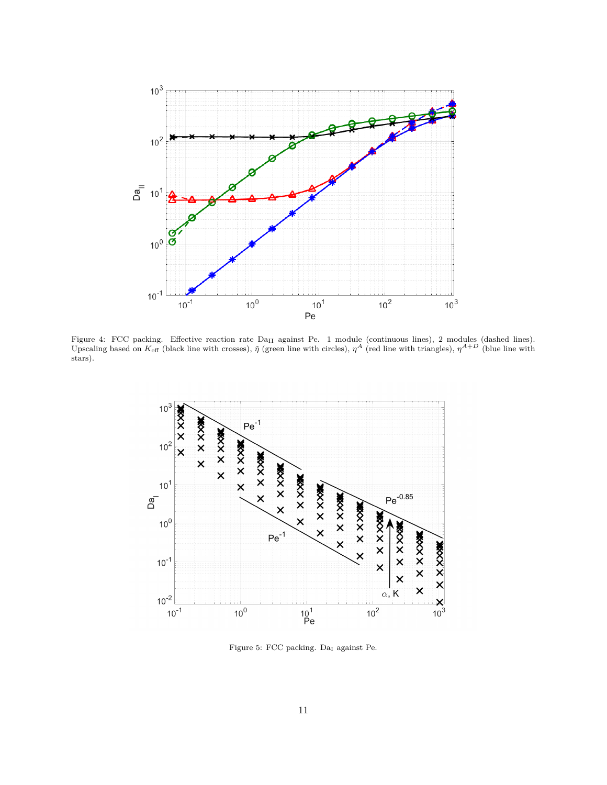

Figure 4: FCC packing. Effective reaction rate Da<sub>II</sub> against Pe. 1 module (continuous lines), 2 modules (dashed lines). Upscaling based on  $K_{\text{eff}}$  (black line with crosses),  $\tilde{\eta}$  (green line with circles),  $\eta^A$  (red line with triangles),  $\eta^{A+D}$  (blue line with stars).



Figure 5: FCC packing.  $\mathrm{Da}_{\mathrm{I}}$  against Pe.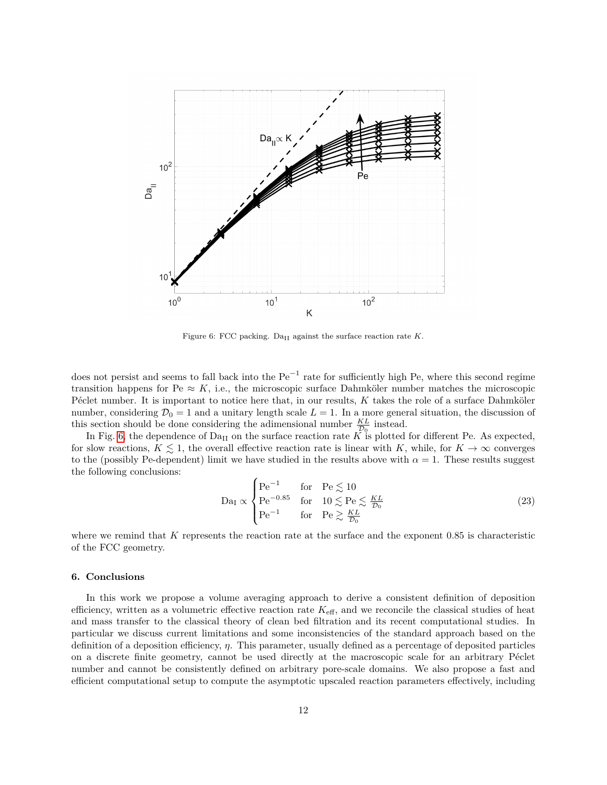

Figure 6: FCC packing. Da<sub>II</sub> against the surface reaction rate  $K$ .

does not persist and seems to fall back into the  $Pe^{-1}$  rate for sufficiently high Pe, where this second regime transition happens for Pe  $\approx K$ , i.e., the microscopic surface Dahmköler number matches the microscopic P $\acute{e}$ clet number. It is important to notice here that, in our results, *K* takes the role of a surface Dahmköler number, considering  $\mathcal{D}_0 = 1$  and a unitary length scale  $L = 1$ . In a more general situation, the discussion of this section should be done considering the adimensional number  $\frac{KL}{\mathcal{D}_0}$  instead.

In Fig. 6, the dependence of  $Da<sub>II</sub>$  on the surface reaction rate  $K$  is plotted for different Pe. As expected, for slow reactions,  $K \leq 1$ , the overall effective reaction rate is linear with *K*, while, for  $K \to \infty$  converges to the (possibly Pe-dependent) limit we have studied in the results above with  $\alpha = 1$ . These results suggest the following conclusions:

$$
\text{Da}_{\text{I}} \propto \begin{cases} \text{Pe}^{-1} & \text{for} \quad \text{Pe} \lesssim 10\\ \text{Pe}^{-0.85} & \text{for} \quad 10 \lesssim \text{Pe} \lesssim \frac{KL}{\mathcal{D}_0} \\ \text{Pe}^{-1} & \text{for} \quad \text{Pe} \gtrsim \frac{KL}{\mathcal{D}_0} \end{cases} \tag{23}
$$

where we remind that *K* represents the reaction rate at the surface and the exponent 0*.*85 is characteristic of the FCC geometry.

### **6. Conclusions**

In this work we propose a volume averaging approach to derive a consistent definition of deposition efficiency, written as a volumetric effective reaction rate  $K_{\text{eff}}$ , and we reconcile the classical studies of heat and mass transfer to the classical theory of clean bed filtration and its recent computational studies. In particular we discuss current limitations and some inconsistencies of the standard approach based on the definition of a deposition efficiency, *η*. This parameter, usually defined as a percentage of deposited particles on a discrete finite geometry, cannot be used directly at the macroscopic scale for an arbitrary Péclet number and cannot be consistently defined on arbitrary pore-scale domains. We also propose a fast and efficient computational setup to compute the asymptotic upscaled reaction parameters effectively, including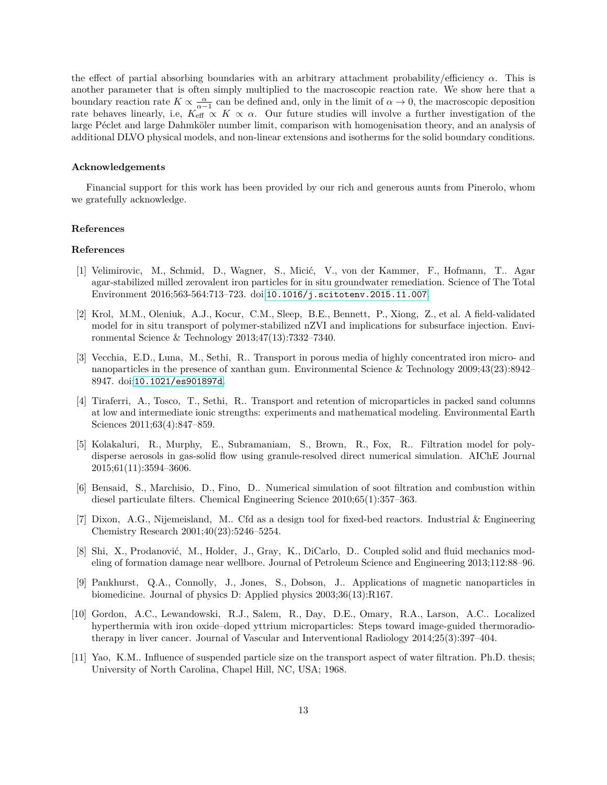the effect of partial absorbing boundaries with an arbitrary attachment probability/efficiency *α*. This is another parameter that is often simply multiplied to the macroscopic reaction rate. We show here that a boundary reaction rate  $K \propto \frac{\alpha}{\alpha - 1}$  can be defined and, only in the limit of  $\alpha \to 0$ , the macroscopic deposition rate behaves linearly, i.e,  $K_{\text{eff}} \propto K \propto \alpha$ . Our future studies will involve a further investigation of the large Péclet and large Dahmköler number limit, comparison with homogenisation theory, and an analysis of additional DLVO physical models, and non-linear extensions and isotherms for the solid boundary conditions.

#### **Acknowledgements**

Financial support for this work has been provided by our rich and generous aunts from Pinerolo, whom we gratefully acknowledge.

#### **References**

#### **References**

- [1] Velimirovic, M., Schmid, D., Wagner, S., Micić, V., von der Kammer, F., Hofmann, T.. Agar agar-stabilized milled zerovalent iron particles for in situ groundwater remediation. Science of The Total Environment 2016;563-564:713–723. doi:[10.1016/j.scitotenv.2015.11.007](http://dx.doi.org/10.1016/j.scitotenv.2015.11.007).
- [2] Krol, M.M., Oleniuk, A.J., Kocur, C.M., Sleep, B.E., Bennett, P., Xiong, Z., et al. A field-validated model for in situ transport of polymer-stabilized nZVI and implications for subsurface injection. Environmental Science & Technology 2013;47(13):7332–7340.
- [3] Vecchia, E.D., Luna, M., Sethi, R.. Transport in porous media of highly concentrated iron micro- and nanoparticles in the presence of xanthan gum. Environmental Science & Technology 2009;43(23):8942– 8947. doi:[10.1021/es901897d](http://dx.doi.org/10.1021/es901897d).
- [4] Tiraferri, A., Tosco, T., Sethi, R.. Transport and retention of microparticles in packed sand columns at low and intermediate ionic strengths: experiments and mathematical modeling. Environmental Earth Sciences 2011;63(4):847–859.
- [5] Kolakaluri, R., Murphy, E., Subramaniam, S., Brown, R., Fox, R.. Filtration model for polydisperse aerosols in gas-solid flow using granule-resolved direct numerical simulation. AIChE Journal 2015;61(11):3594–3606.
- [6] Bensaid, S., Marchisio, D., Fino, D.. Numerical simulation of soot filtration and combustion within diesel particulate filters. Chemical Engineering Science 2010;65(1):357–363.
- [7] Dixon, A.G., Nijemeisland, M.. Cfd as a design tool for fixed-bed reactors. Industrial & Engineering Chemistry Research 2001;40(23):5246–5254.
- [8] Shi, X., Prodanović, M., Holder, J., Gray, K., DiCarlo, D.. Coupled solid and fluid mechanics modeling of formation damage near wellbore. Journal of Petroleum Science and Engineering 2013;112:88–96.
- [9] Pankhurst, Q.A., Connolly, J., Jones, S., Dobson, J.. Applications of magnetic nanoparticles in biomedicine. Journal of physics D: Applied physics 2003;36(13):R167.
- [10] Gordon, A.C., Lewandowski, R.J., Salem, R., Day, D.E., Omary, R.A., Larson, A.C.. Localized hyperthermia with iron oxide–doped yttrium microparticles: Steps toward image-guided thermoradiotherapy in liver cancer. Journal of Vascular and Interventional Radiology 2014;25(3):397–404.
- [11] Yao, K.M.. Influence of suspended particle size on the transport aspect of water filtration. Ph.D. thesis; University of North Carolina, Chapel Hill, NC, USA; 1968.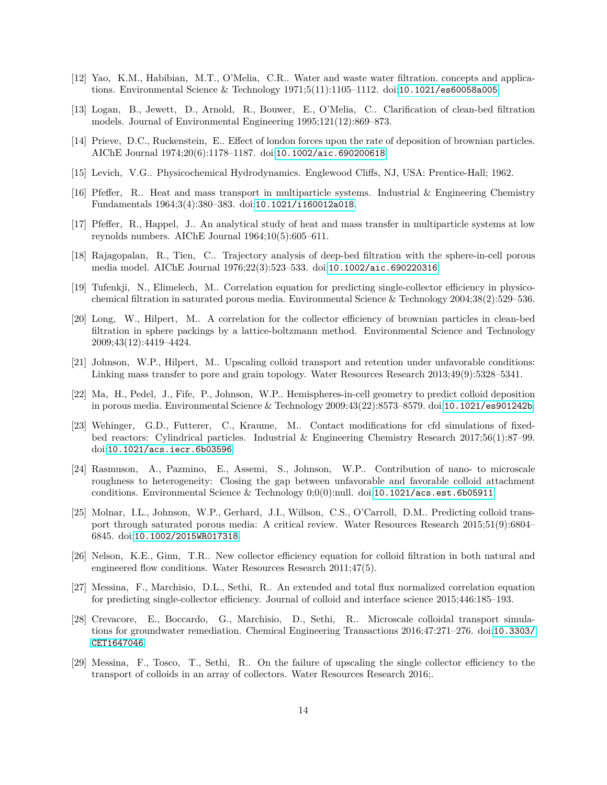- [12] Yao, K.M., Habibian, M.T., O'Melia, C.R.. Water and waste water filtration. concepts and applications. Environmental Science & Technology 1971;5(11):1105–1112. doi:[10.1021/es60058a005](http://dx.doi.org/10.1021/es60058a005).
- [13] Logan, B., Jewett, D., Arnold, R., Bouwer, E., O'Melia, C.. Clarification of clean-bed filtration models. Journal of Environmental Engineering 1995;121(12):869–873.
- [14] Prieve, D.C., Ruckenstein, E.. Effect of london forces upon the rate of deposition of brownian particles. AIChE Journal 1974;20(6):1178–1187. doi:[10.1002/aic.690200618](http://dx.doi.org/10.1002/aic.690200618).
- [15] Levich, V.G.. Physicochemical Hydrodynamics. Englewood Cliffs, NJ, USA: Prentice-Hall; 1962.
- [16] Pfeffer, R.. Heat and mass transport in multiparticle systems. Industrial & Engineering Chemistry Fundamentals 1964;3(4):380–383. doi:[10.1021/i160012a018](http://dx.doi.org/10.1021/i160012a018).
- [17] Pfeffer, R., Happel, J.. An analytical study of heat and mass transfer in multiparticle systems at low reynolds numbers. AIChE Journal 1964;10(5):605–611.
- [18] Rajagopalan, R., Tien, C.. Trajectory analysis of deep-bed filtration with the sphere-in-cell porous media model. AIChE Journal 1976;22(3):523–533. doi:[10.1002/aic.690220316](http://dx.doi.org/10.1002/aic.690220316).
- [19] Tufenkji, N., Elimelech, M.. Correlation equation for predicting single-collector efficiency in physicochemical filtration in saturated porous media. Environmental Science & Technology 2004;38(2):529–536.
- [20] Long, W., Hilpert, M.. A correlation for the collector efficiency of brownian particles in clean-bed filtration in sphere packings by a lattice-boltzmann method. Environmental Science and Technology 2009;43(12):4419–4424.
- [21] Johnson, W.P., Hilpert, M.. Upscaling colloid transport and retention under unfavorable conditions: Linking mass transfer to pore and grain topology. Water Resources Research 2013;49(9):5328–5341.
- [22] Ma, H., Pedel, J., Fife, P., Johnson, W.P.. Hemispheres-in-cell geometry to predict colloid deposition in porous media. Environmental Science & Technology 2009;43(22):8573–8579. doi:[10.1021/es901242b](http://dx.doi.org/10.1021/es901242b).
- [23] Wehinger, G.D., Futterer, C., Kraume, M.. Contact modifications for cfd simulations of fixedbed reactors: Cylindrical particles. Industrial & Engineering Chemistry Research 2017;56(1):87–99. doi:[10.1021/acs.iecr.6b03596](http://dx.doi.org/10.1021/acs.iecr.6b03596).
- [24] Rasmuson, A., Pazmino, E., Assemi, S., Johnson, W.P.. Contribution of nano- to microscale roughness to heterogeneity: Closing the gap between unfavorable and favorable colloid attachment conditions. Environmental Science & Technology 0;0(0):null. doi:[10.1021/acs.est.6b05911](http://dx.doi.org/10.1021/acs.est.6b05911).
- [25] Molnar, I.L., Johnson, W.P., Gerhard, J.I., Willson, C.S., O'Carroll, D.M.. Predicting colloid transport through saturated porous media: A critical review. Water Resources Research 2015;51(9):6804– 6845. doi:[10.1002/2015WR017318](http://dx.doi.org/10.1002/2015WR017318).
- [26] Nelson, K.E., Ginn, T.R.. New collector efficiency equation for colloid filtration in both natural and engineered flow conditions. Water Resources Research 2011;47(5).
- [27] Messina, F., Marchisio, D.L., Sethi, R.. An extended and total flux normalized correlation equation for predicting single-collector efficiency. Journal of colloid and interface science 2015;446:185–193.
- [28] Crevacore, E., Boccardo, G., Marchisio, D., Sethi, R.. Microscale colloidal transport simulations for groundwater remediation. Chemical Engineering Transactions 2016;47:271–276. doi:[10.3303/](http://dx.doi.org/10.3303/CET1647046) [CET1647046](http://dx.doi.org/10.3303/CET1647046).
- [29] Messina, F., Tosco, T., Sethi, R.. On the failure of upscaling the single collector efficiency to the transport of colloids in an array of collectors. Water Resources Research 2016;.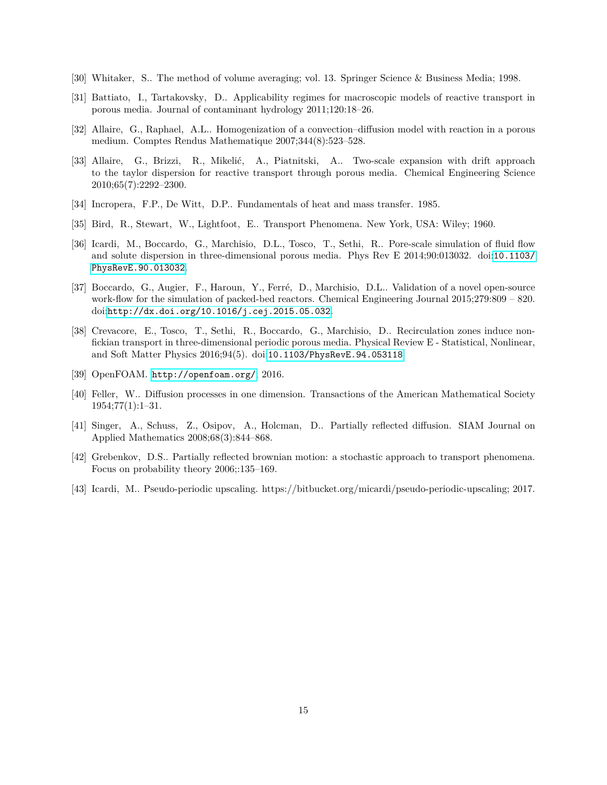- [30] Whitaker, S.. The method of volume averaging; vol. 13. Springer Science & Business Media; 1998.
- [31] Battiato, I., Tartakovsky, D.. Applicability regimes for macroscopic models of reactive transport in porous media. Journal of contaminant hydrology 2011;120:18–26.
- [32] Allaire, G., Raphael, A.L.. Homogenization of a convection–diffusion model with reaction in a porous medium. Comptes Rendus Mathematique 2007;344(8):523–528.
- [33] Allaire, G., Brizzi, R., Mikelić, A., Piatnitski, A.. Two-scale expansion with drift approach to the taylor dispersion for reactive transport through porous media. Chemical Engineering Science 2010;65(7):2292–2300.
- [34] Incropera, F.P., De Witt, D.P.. Fundamentals of heat and mass transfer. 1985.
- [35] Bird, R., Stewart, W., Lightfoot, E.. Transport Phenomena. New York, USA: Wiley; 1960.
- [36] Icardi, M., Boccardo, G., Marchisio, D.L., Tosco, T., Sethi, R.. Pore-scale simulation of fluid flow and solute dispersion in three-dimensional porous media. Phys Rev E 2014;90:013032. doi:[10.1103/](http://dx.doi.org/10.1103/PhysRevE.90.013032) [PhysRevE.90.013032](http://dx.doi.org/10.1103/PhysRevE.90.013032).
- [37] Boccardo, G., Augier, F., Haroun, Y., Ferré, D., Marchisio, D.L.. Validation of a novel open-source work-flow for the simulation of packed-bed reactors. Chemical Engineering Journal 2015;279:809 – 820. doi:[http://dx.doi.org/10.1016/j.cej.2015.05.032](http://dx.doi.org/http://dx.doi.org/10.1016/j.cej.2015.05.032).
- [38] Crevacore, E., Tosco, T., Sethi, R., Boccardo, G., Marchisio, D.. Recirculation zones induce nonfickian transport in three-dimensional periodic porous media. Physical Review E - Statistical, Nonlinear, and Soft Matter Physics 2016;94(5). doi:[10.1103/PhysRevE.94.053118](http://dx.doi.org/10.1103/PhysRevE.94.053118).
- [39] OpenFOAM. <http://openfoam.org/>; 2016.
- [40] Feller, W.. Diffusion processes in one dimension. Transactions of the American Mathematical Society  $1954;77(1):1-31.$
- [41] Singer, A., Schuss, Z., Osipov, A., Holcman, D.. Partially reflected diffusion. SIAM Journal on Applied Mathematics 2008;68(3):844–868.
- [42] Grebenkov, D.S.. Partially reflected brownian motion: a stochastic approach to transport phenomena. Focus on probability theory 2006;:135–169.
- [43] Icardi, M.. Pseudo-periodic upscaling. https://bitbucket.org/micardi/pseudo-periodic-upscaling; 2017.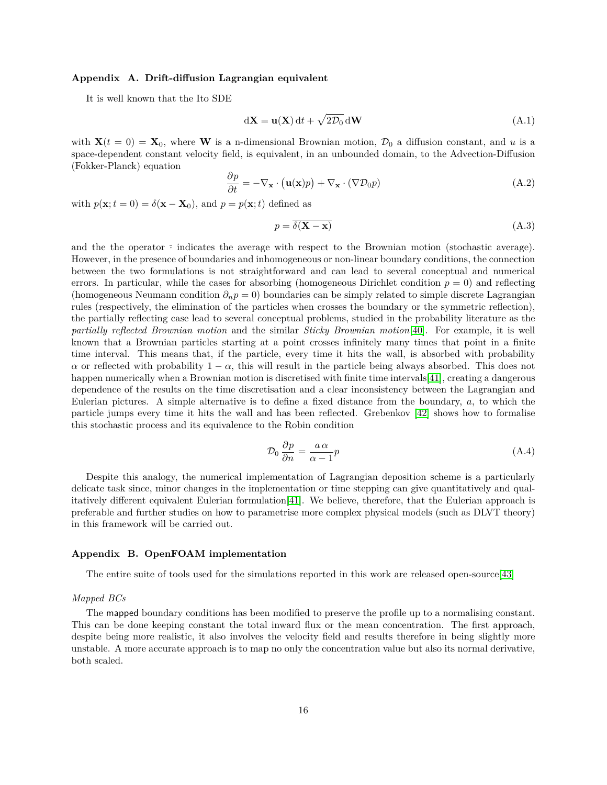#### **Appendix A. Drift-diffusion Lagrangian equivalent**

It is well known that the Ito SDE

$$
dX = u(X) dt + \sqrt{2D_0} dW
$$
 (A.1)

with  $\mathbf{X}(t=0) = \mathbf{X}_0$ , where **W** is a n-dimensional Brownian motion,  $\mathcal{D}_0$  a diffusion constant, and *u* is a space-dependent constant velocity field, is equivalent, in an unbounded domain, to the Advection-Diffusion (Fokker-Planck) equation

$$
\frac{\partial p}{\partial t} = -\nabla_{\mathbf{x}} \cdot (\mathbf{u}(\mathbf{x})p) + \nabla_{\mathbf{x}} \cdot (\nabla \mathcal{D}_0 p) \tag{A.2}
$$

with  $p(\mathbf{x}; t = 0) = \delta(\mathbf{x} - \mathbf{X}_0)$ , and  $p = p(\mathbf{x}; t)$  defined as

$$
p = \overline{\delta(\mathbf{X} - \mathbf{x})} \tag{A.3}
$$

and the the operator  $\overline{\cdot}$  indicates the average with respect to the Brownian motion (stochastic average). However, in the presence of boundaries and inhomogeneous or non-linear boundary conditions, the connection between the two formulations is not straightforward and can lead to several conceptual and numerical errors. In particular, while the cases for absorbing (homogeneous Dirichlet condition  $p = 0$ ) and reflecting (homogeneous Neumann condition  $\partial_n p = 0$ ) boundaries can be simply related to simple discrete Lagrangian rules (respectively, the elimination of the particles when crosses the boundary or the symmetric reflection), the partially reflecting case lead to several conceptual problems, studied in the probability literature as the *partially reflected Brownian motion* and the similar *Sticky Brownian motion*[40]. For example, it is well known that a Brownian particles starting at a point crosses infinitely many times that point in a finite time interval. This means that, if the particle, every time it hits the wall, is absorbed with probability *α* or reflected with probability  $1 - \alpha$ , this will result in the particle being always absorbed. This does not happen numerically when a Brownian motion is discretised with finite time intervals [41], creating a dangerous dependence of the results on the time discretisation and a clear inconsistency between the Lagrangian and Eulerian pictures. A simple alternative is to define a fixed distance from the boundary, *a*, to which the particle jumps every time it hits the wall and has been reflected. Grebenkov [42] shows how to formalise this stochastic process and its equivalence to the Robin condition

$$
\mathcal{D}_0 \frac{\partial p}{\partial n} = \frac{a \alpha}{\alpha - 1} p \tag{A.4}
$$

Despite this analogy, the numerical implementation of Lagrangian deposition scheme is a particularly delicate task since, minor changes in the implementation or time stepping can give quantitatively and qualitatively different equivalent Eulerian formulation[41]. We believe, therefore, that the Eulerian approach is preferable and further studies on how to parametrise more complex physical models (such as DLVT theory) in this framework will be carried out.

#### **Appendix B. OpenFOAM implementation**

The entire suite of tools used for the simulations reported in this work are released open-source[43]

#### *Mapped BCs*

The mapped boundary conditions has been modified to preserve the profile up to a normalising constant. This can be done keeping constant the total inward flux or the mean concentration. The first approach, despite being more realistic, it also involves the velocity field and results therefore in being slightly more unstable. A more accurate approach is to map no only the concentration value but also its normal derivative, both scaled.